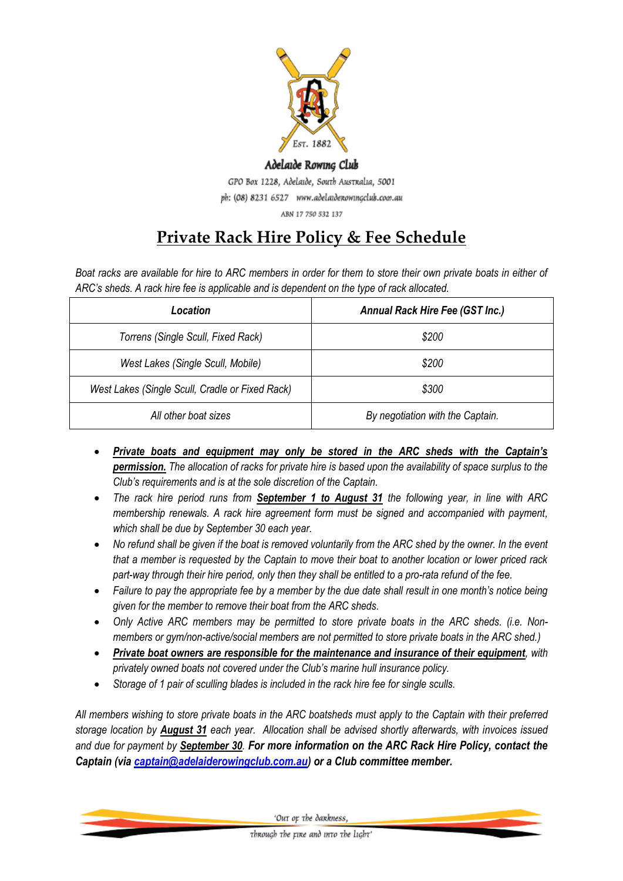

## Adelaide Rowing Club GPO Box 1228, Adelaide, South Australia, 5001 ph: (08) 8231 6527 www.adelaidenowingclub.com.au ABN 17 750 532 137

## **Private Rack Hire Policy & Fee Schedule**

*Boat racks are available for hire to ARC members in order for them to store their own private boats in either of ARC's sheds. A rack hire fee is applicable and is dependent on the type of rack allocated.*

| Location                                        | Annual Rack Hire Fee (GST Inc.)  |  |  |
|-------------------------------------------------|----------------------------------|--|--|
| Torrens (Single Scull, Fixed Rack)              | \$200                            |  |  |
| West Lakes (Single Scull, Mobile)               | \$200                            |  |  |
| West Lakes (Single Scull, Cradle or Fixed Rack) | \$300                            |  |  |
| All other boat sizes                            | By negotiation with the Captain. |  |  |

- *Private boats and equipment may only be stored in the ARC sheds with the Captain's permission. The allocation of racks for private hire is based upon the availability of space surplus to the Club's requirements and is at the sole discretion of the Captain.*
- *The rack hire period runs from September 1 to August 31 the following year, in line with ARC membership renewals. A rack hire agreement form must be signed and accompanied with payment, which shall be due by September 30 each year.*
- *No refund shall be given if the boat is removed voluntarily from the ARC shed by the owner. In the event that a member is requested by the Captain to move their boat to another location or lower priced rack part-way through their hire period, only then they shall be entitled to a pro-rata refund of the fee.*
- *Failure to pay the appropriate fee by a member by the due date shall result in one month's notice being given for the member to remove their boat from the ARC sheds.*
- *Only Active ARC members may be permitted to store private boats in the ARC sheds. (i.e. Nonmembers or gym/non-active/social members are not permitted to store private boats in the ARC shed.)*
- *Private boat owners are responsible for the maintenance and insurance of their equipment, with privately owned boats not covered under the Club's marine hull insurance policy.*
- *Storage of 1 pair of sculling blades is included in the rack hire fee for single sculls.*

*All members wishing to store private boats in the ARC boatsheds must apply to the Captain with their preferred storage location by August 31 each year. Allocation shall be advised shortly afterwards, with invoices issued and due for payment by September 30. For more information on the ARC Rack Hire Policy, contact the Captain (via [captain@adelaiderowingclub.com.au\)](mailto:captain@adelaiderowingclub.com.au) or a Club committee member.*

'Out or the dankness,

through the rine and into the light'